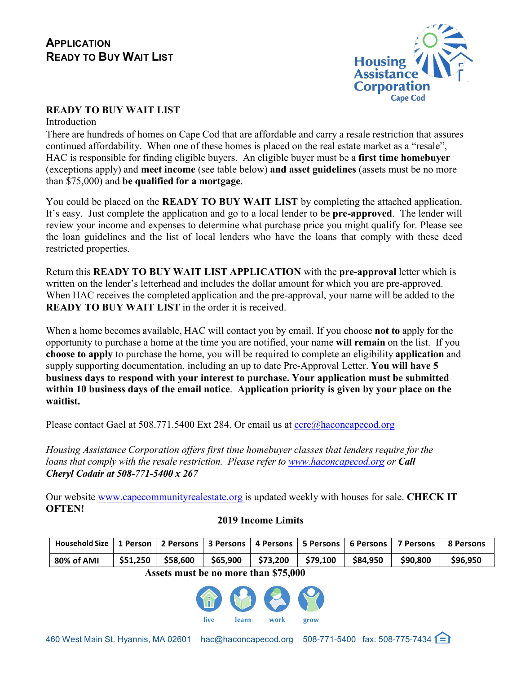

# **READY TO BUY WAIT LIST**

Introduction

There are hundreds of homes on Cape Cod that are affordable and carry a resale restriction that assures continued affordability. When one of these homes is placed on the real estate market as a "resale", HAC is responsible for finding eligible buyers. An eligible buyer must be a **first time homebuyer** (exceptions apply) and **meet income** (see table below) **and asset guidelines** (assets must be no more than \$75,000) and **be qualified for a mortgage**.

You could be placed on the **READY TO BUY WAIT LIST** by completing the attached application. It's easy. Just complete the application and go to a local lender to be **pre-approved**. The lender will review your income and expenses to determine what purchase price you might qualify for. Please see the loan guidelines and the list of local lenders who have the loans that comply with these deed restricted properties.

Return this **READY TO BUY WAIT LIST APPLICATION** with the **pre-approval** letter which is written on the lender's letterhead and includes the dollar amount for which you are pre-approved. When HAC receives the completed application and the pre-approval, your name will be added to the **READY TO BUY WAIT LIST** in the order it is received.

When a home becomes available, HAC will contact you by email. If you choose **not to** apply for the opportunity to purchase a home at the time you are notified, your name **will remain** on the list. If you **choose to apply** to purchase the home, you will be required to complete an eligibility **application** and supply supporting documentation, including an up to date Pre-Approval Letter. **You will have 5 business days to respond with your interest to purchase. Your application must be submitted within 10 business days of the email notice**. **Application priority is given by your place on the waitlist.**

Please contact Gael at 508.771.5400 Ext 284. Or email us at ccre@haconcapecod.org

*Housing Assistance Corporation offers first time homebuyer classes that lenders require for the loans that comply with the resale restriction. Please refer to www.haconcapecod.org or Call Cheryl Codair at 508-771-5400 x 267*

Our website www.capecommunityrealestate.org is updated weekly with houses for sale. **CHECK IT OFTEN!**

**2019 Income Limits**

# **Household Size 1 Person 2 Persons 3 Persons 4 Persons 5 Persons 6 Persons 7 Persons 8 Persons 80% of AMI \$51,250 \$58,600 \$65,900 \$73,200 \$79,100 \$84,950 \$90,800 \$96,950**

## **Assets must be no more than \$75,000**

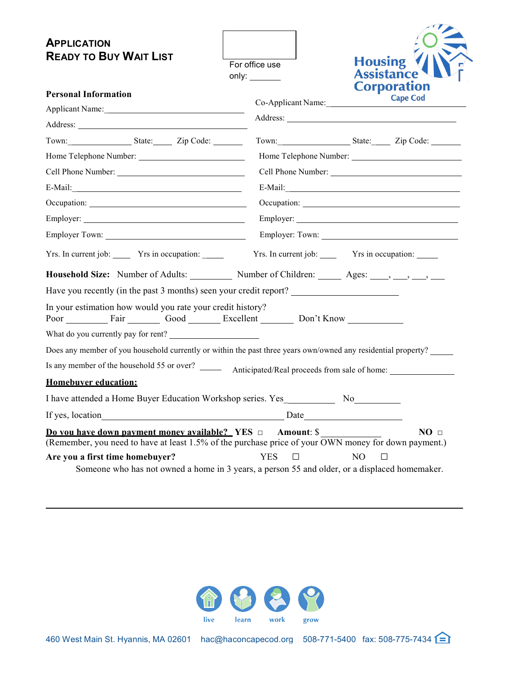| <b>APPLICATION</b><br><b>READY TO BUY WAIT LIST</b>                                                                                                                                                                                 | For office use<br>only: $\_\_$ | <b>Housing</b>                                 | <b>Assistance</b>                     |
|-------------------------------------------------------------------------------------------------------------------------------------------------------------------------------------------------------------------------------------|--------------------------------|------------------------------------------------|---------------------------------------|
| <b>Personal Information</b>                                                                                                                                                                                                         |                                |                                                | <b>Corporation</b><br><b>Cape Cod</b> |
| Applicant Name:                                                                                                                                                                                                                     |                                | Co-Applicant Name:                             |                                       |
|                                                                                                                                                                                                                                     |                                |                                                |                                       |
| Town: State: Zip Code:                                                                                                                                                                                                              |                                | Town: State: Zip Code:                         |                                       |
|                                                                                                                                                                                                                                     |                                |                                                |                                       |
| Cell Phone Number:                                                                                                                                                                                                                  |                                |                                                |                                       |
|                                                                                                                                                                                                                                     |                                |                                                |                                       |
|                                                                                                                                                                                                                                     |                                |                                                |                                       |
|                                                                                                                                                                                                                                     |                                |                                                |                                       |
| Employer Town:                                                                                                                                                                                                                      |                                |                                                |                                       |
| Yrs. In current job: _______ Yrs in occupation: ______                                                                                                                                                                              |                                | Yrs. In current job: Yrs in occupation: ______ |                                       |
| <b>Household Size:</b> Number of Adults: Number of Children: Ages: Ages: Ages: Ages: Ages: Ages: Ages: Ages: Ages: Ages: Ages: Ages: Ages: Ages: Ages: Ages: Ages: Ages: Ages: Ages: Ages: Ages: Ages: Ages: Ages: Ages: Ages: Ages |                                |                                                |                                       |
| Have you recently (in the past 3 months) seen your credit report?                                                                                                                                                                   |                                |                                                |                                       |
| In your estimation how would you rate your credit history?<br>Poor Fair Good Excellent Don't Know                                                                                                                                   |                                |                                                |                                       |
| What do you currently pay for rent?                                                                                                                                                                                                 |                                |                                                |                                       |
| Does any member of you household currently or within the past three years own/owned any residential property?                                                                                                                       |                                |                                                |                                       |
|                                                                                                                                                                                                                                     |                                |                                                |                                       |
| <b>Homebuver education:</b>                                                                                                                                                                                                         |                                |                                                |                                       |
| I have attended a Home Buyer Education Workshop series. Yes________                                                                                                                                                                 |                                | No.                                            |                                       |
| If yes, location                                                                                                                                                                                                                    |                                |                                                |                                       |
| <u>Do vou have down payment money available?</u> YES □ Amount: \$<br>(Remember, you need to have at least 1.5% of the purchase price of your OWN money for down payment.)                                                           |                                |                                                | NO <sub>□</sub>                       |
| Are you a first time homebuyer?<br>Someone who has not owned a home in 3 years, a person 55 and older, or a displaced homemaker.                                                                                                    | <b>YES</b><br>$\Box$           | N <sub>O</sub>                                 | $\Box$                                |

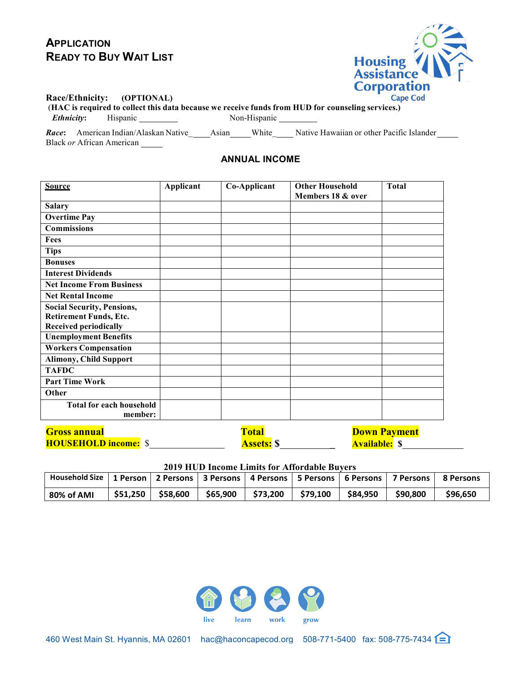# **APPLICATION READY TO BUY WAIT LIST**



#### **Race/Ethnicity: (OPTIONAL)**

(**HAC is required to collect this data because we receive funds from HUD for counseling services.) Ethnicity:** Hispanic Non-Hispanic

*Race***:** American Indian/Alaskan Native\_ Asian White\_ Native Hawaiian or other Pacific Islander Black *or* African American

# **ANNUAL INCOME**

| <b>Source</b>                     | Applicant | Co-Applicant | <b>Other Household</b><br>Members 18 & over | <b>Total</b>                      |
|-----------------------------------|-----------|--------------|---------------------------------------------|-----------------------------------|
| <b>Salary</b>                     |           |              |                                             |                                   |
| <b>Overtime Pay</b>               |           |              |                                             |                                   |
| <b>Commissions</b>                |           |              |                                             |                                   |
| Fees                              |           |              |                                             |                                   |
| <b>Tips</b>                       |           |              |                                             |                                   |
| <b>Bonuses</b>                    |           |              |                                             |                                   |
| <b>Interest Dividends</b>         |           |              |                                             |                                   |
| <b>Net Income From Business</b>   |           |              |                                             |                                   |
| <b>Net Rental Income</b>          |           |              |                                             |                                   |
| <b>Social Security, Pensions,</b> |           |              |                                             |                                   |
| <b>Retirement Funds, Etc.</b>     |           |              |                                             |                                   |
| <b>Received periodically</b>      |           |              |                                             |                                   |
| <b>Unemployment Benefits</b>      |           |              |                                             |                                   |
| <b>Workers Compensation</b>       |           |              |                                             |                                   |
| <b>Alimony, Child Support</b>     |           |              |                                             |                                   |
| <b>TAFDC</b>                      |           |              |                                             |                                   |
| <b>Part Time Work</b>             |           |              |                                             |                                   |
| Other                             |           |              |                                             |                                   |
| <b>Total for each household</b>   |           |              |                                             |                                   |
| member:                           |           |              |                                             |                                   |
| $\sim$ $\sim$ $\sim$ $\sim$       |           | <u>an an</u> | <b>Report Follows</b>                       | <b>The Community of Community</b> |

| <b>Gross annual</b>         | <b>Total</b>      | <b>Down Payment</b>  |  |
|-----------------------------|-------------------|----------------------|--|
| <b>HOUSEHOLD income:</b> \$ | <b>Assets:</b> \$ | <b>Available:</b> \$ |  |

**2019 HUD Income Limits for Affordable Buyers**

| Household Size   1 Person   2 Persons   3 Persons   4 Persons   5 Persons   6 Persons   7 Persons |          |          |                                             |  |          | 8 Persons |
|---------------------------------------------------------------------------------------------------|----------|----------|---------------------------------------------|--|----------|-----------|
| 80% of AMI                                                                                        | \$51.250 | \$58.600 | ' \$65,900   \$73,200   \$79,100   \$84,950 |  | \$90.800 | \$96.650  |